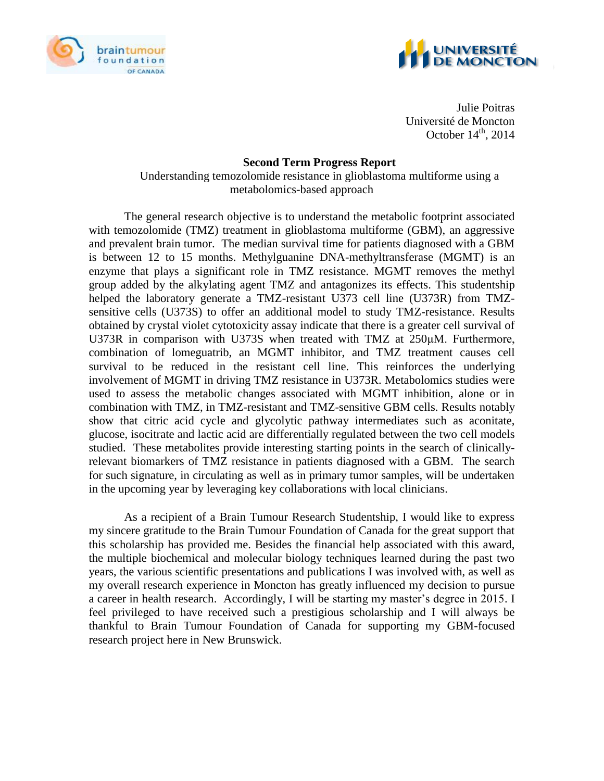



Julie Poitras Université de Moncton October  $14<sup>th</sup>$ , 2014

## **Second Term Progress Report**

Understanding temozolomide resistance in glioblastoma multiforme using a metabolomics-based approach

The general research objective is to understand the metabolic footprint associated with temozolomide (TMZ) treatment in glioblastoma multiforme (GBM), an aggressive and prevalent brain tumor. The median survival time for patients diagnosed with a GBM is between 12 to 15 months. Methylguanine DNA-methyltransferase (MGMT) is an enzyme that plays a significant role in TMZ resistance. MGMT removes the methyl group added by the alkylating agent TMZ and antagonizes its effects. This studentship helped the laboratory generate a TMZ-resistant U373 cell line (U373R) from TMZsensitive cells (U373S) to offer an additional model to study TMZ-resistance. Results obtained by crystal violet cytotoxicity assay indicate that there is a greater cell survival of U373R in comparison with U373S when treated with TMZ at 250μM. Furthermore, combination of lomeguatrib, an MGMT inhibitor, and TMZ treatment causes cell survival to be reduced in the resistant cell line. This reinforces the underlying involvement of MGMT in driving TMZ resistance in U373R. Metabolomics studies were used to assess the metabolic changes associated with MGMT inhibition, alone or in combination with TMZ, in TMZ-resistant and TMZ-sensitive GBM cells. Results notably show that citric acid cycle and glycolytic pathway intermediates such as aconitate, glucose, isocitrate and lactic acid are differentially regulated between the two cell models studied. These metabolites provide interesting starting points in the search of clinicallyrelevant biomarkers of TMZ resistance in patients diagnosed with a GBM. The search for such signature, in circulating as well as in primary tumor samples, will be undertaken in the upcoming year by leveraging key collaborations with local clinicians.

As a recipient of a Brain Tumour Research Studentship, I would like to express my sincere gratitude to the Brain Tumour Foundation of Canada for the great support that this scholarship has provided me. Besides the financial help associated with this award, the multiple biochemical and molecular biology techniques learned during the past two years, the various scientific presentations and publications I was involved with, as well as my overall research experience in Moncton has greatly influenced my decision to pursue a career in health research. Accordingly, I will be starting my master's degree in 2015. I feel privileged to have received such a prestigious scholarship and I will always be thankful to Brain Tumour Foundation of Canada for supporting my GBM-focused research project here in New Brunswick.